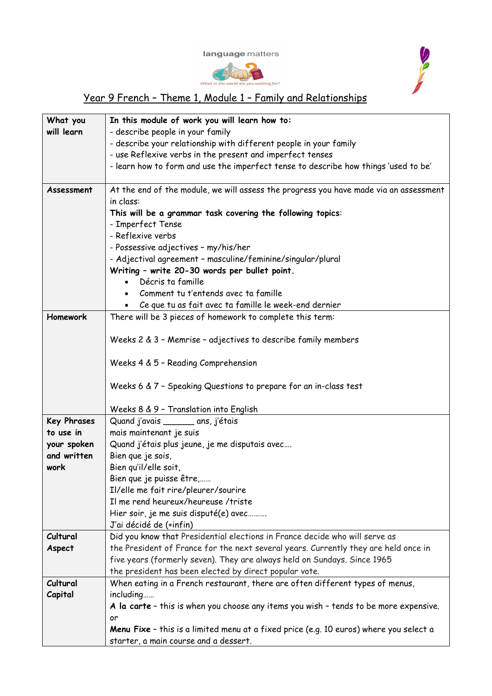





## Year 9 French – Theme 1, Module 1 – Family and Relationships

| What you           | In this module of work you will learn how to:                                                |  |  |  |
|--------------------|----------------------------------------------------------------------------------------------|--|--|--|
| will learn         | - describe people in your family                                                             |  |  |  |
|                    | - describe your relationship with different people in your family                            |  |  |  |
|                    | - use Reflexive verbs in the present and imperfect tenses                                    |  |  |  |
|                    | - learn how to form and use the imperfect tense to describe how things 'used to be'          |  |  |  |
|                    |                                                                                              |  |  |  |
| Assessment         | At the end of the module, we will assess the progress you have made via an assessment        |  |  |  |
|                    | in class:                                                                                    |  |  |  |
|                    | This will be a grammar task covering the following topics:                                   |  |  |  |
|                    | - Imperfect Tense                                                                            |  |  |  |
|                    | - Reflexive verbs                                                                            |  |  |  |
|                    | - Possessive adjectives - my/his/her                                                         |  |  |  |
|                    | - Adjectival agreement - masculine/feminine/singular/plural                                  |  |  |  |
|                    | Writing - write 20-30 words per bullet point.                                                |  |  |  |
|                    | Décris ta famille                                                                            |  |  |  |
|                    | Comment tu t'entends avec ta famille                                                         |  |  |  |
|                    | Ce que tu as fait avec ta famille le week-end dernier                                        |  |  |  |
| Homework           | There will be 3 pieces of homework to complete this term:                                    |  |  |  |
|                    | Weeks 2 & 3 - Memrise - adjectives to describe family members                                |  |  |  |
|                    |                                                                                              |  |  |  |
|                    | Weeks 4 & 5 - Reading Comprehension                                                          |  |  |  |
|                    |                                                                                              |  |  |  |
|                    | Weeks 6 & 7 - Speaking Questions to prepare for an in-class test                             |  |  |  |
|                    |                                                                                              |  |  |  |
|                    | Weeks 8 & 9 - Translation into English                                                       |  |  |  |
| <b>Key Phrases</b> | Quand j'avais ________ ans, j'étais                                                          |  |  |  |
| to use in          | mais maintenant je suis                                                                      |  |  |  |
| your spoken        | Quand j'étais plus jeune, je me disputais avec                                               |  |  |  |
| and written        | Bien que je sois,                                                                            |  |  |  |
| work               | Bien qu'il/elle soit,                                                                        |  |  |  |
|                    | Bien que je puisse être,                                                                     |  |  |  |
|                    | Il/elle me fait rire/pleurer/sourire                                                         |  |  |  |
|                    | Il me rend heureux/heureuse /triste                                                          |  |  |  |
|                    | Hier soir, je me suis disputé(e) avec                                                        |  |  |  |
|                    | J'ai décidé de (+infin)                                                                      |  |  |  |
| Cultural           | Did you know that Presidential elections in France decide who will serve as                  |  |  |  |
| Aspect             | the President of France for the next several years. Currently they are held once in          |  |  |  |
|                    | five years (formerly seven). They are always held on Sundays. Since 1965                     |  |  |  |
|                    | the president has been elected by direct popular vote.                                       |  |  |  |
| Cultural           | When eating in a French restaurant, there are often different types of menus,                |  |  |  |
| Capital            | including                                                                                    |  |  |  |
|                    | A la carte - this is when you choose any items you wish - tends to be more expensive.        |  |  |  |
|                    | or<br>Menu Fixe - this is a limited menu at a fixed price (e.g. 10 euros) where you select a |  |  |  |
|                    | starter, a main course and a dessert.                                                        |  |  |  |
|                    |                                                                                              |  |  |  |